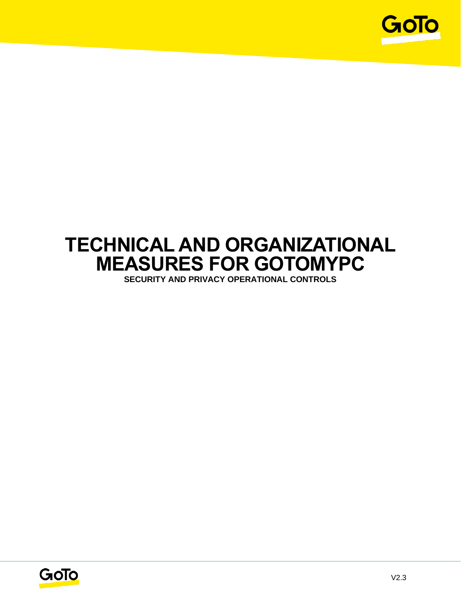

# **TECHNICAL AND ORGANIZATIONAL MEASURES FOR GOTOMYPC**

**SECURITY AND PRIVACY OPERATIONAL CONTROLS**

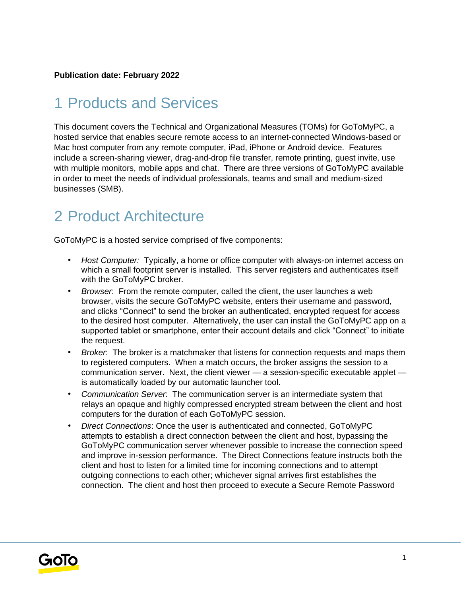#### **Publication date: February 2022**

### 1 Products and Services

This document covers the Technical and Organizational Measures (TOMs) for GoToMyPC, a hosted service that enables secure remote access to an internet-connected Windows-based or Mac host computer from any remote computer, iPad, iPhone or Android device. Features include a screen-sharing viewer, drag-and-drop file transfer, remote printing, guest invite, use with multiple monitors, mobile apps and chat. There are three versions of GoToMyPC available in order to meet the needs of individual professionals, teams and small and medium-sized businesses (SMB).

### 2 Product Architecture

GoToMyPC is a hosted service comprised of five components:

- *Host Computer:* Typically, a home or office computer with always-on internet access on which a small footprint server is installed. This server registers and authenticates itself with the GoToMyPC broker.
- *Browser*: From the remote computer, called the client, the user launches a web browser, visits the secure GoToMyPC website, enters their username and password, and clicks "Connect" to send the broker an authenticated, encrypted request for access to the desired host computer. Alternatively, the user can install the GoToMyPC app on a supported tablet or smartphone, enter their account details and click "Connect" to initiate the request.
- *Broker*: The broker is a matchmaker that listens for connection requests and maps them to registered computers. When a match occurs, the broker assigns the session to a communication server. Next, the client viewer — a session-specific executable applet is automatically loaded by our automatic launcher tool.
- *Communication Server*: The communication server is an intermediate system that relays an opaque and highly compressed encrypted stream between the client and host computers for the duration of each GoToMyPC session.
- *Direct Connections*: Once the user is authenticated and connected, GoToMyPC attempts to establish a direct connection between the client and host, bypassing the GoToMyPC communication server whenever possible to increase the connection speed and improve in-session performance. The Direct Connections feature instructs both the client and host to listen for a limited time for incoming connections and to attempt outgoing connections to each other; whichever signal arrives first establishes the connection. The client and host then proceed to execute a Secure Remote Password

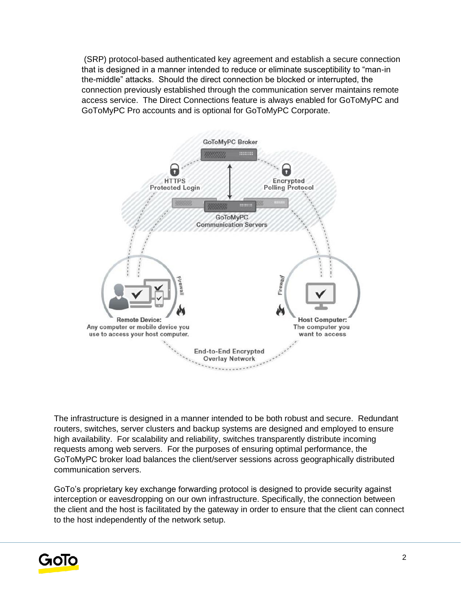(SRP) protocol-based authenticated key agreement and establish a secure connection that is designed in a manner intended to reduce or eliminate susceptibility to "man-in the-middle" attacks. Should the direct connection be blocked or interrupted, the connection previously established through the communication server maintains remote access service. The Direct Connections feature is always enabled for GoToMyPC and GoToMyPC Pro accounts and is optional for GoToMyPC Corporate.



The infrastructure is designed in a manner intended to be both robust and secure. Redundant routers, switches, server clusters and backup systems are designed and employed to ensure high availability. For scalability and reliability, switches transparently distribute incoming requests among web servers. For the purposes of ensuring optimal performance, the GoToMyPC broker load balances the client/server sessions across geographically distributed communication servers.

GoTo's proprietary key exchange forwarding protocol is designed to provide security against interception or eavesdropping on our own infrastructure. Specifically, the connection between the client and the host is facilitated by the gateway in order to ensure that the client can connect to the host independently of the network setup.

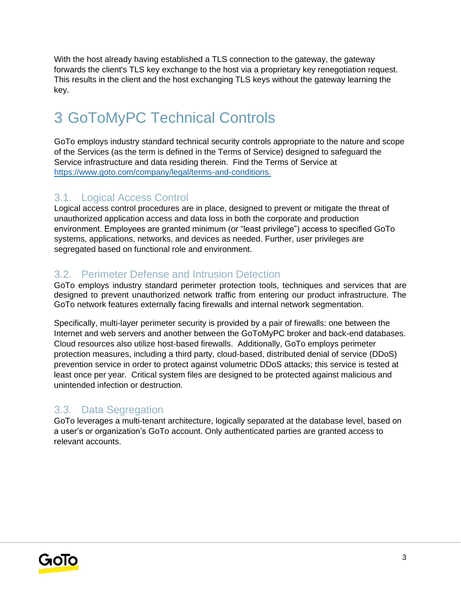With the host already having established a TLS connection to the gateway, the gateway forwards the client's TLS key exchange to the host via a proprietary key renegotiation request. This results in the client and the host exchanging TLS keys without the gateway learning the key.

## 3 GoToMyPC Technical Controls

GoTo employs industry standard technical security controls appropriate to the nature and scope of the Services (as the term is defined in the Terms of Service) designed to safeguard the Service infrastructure and data residing therein. Find the Terms of Service a[t](http://www.logmein.com/legal/terms-and-conditions) [https://www.goto.com/company/legal/terms-and-conditions.](https://www.goto.com/company/legal/terms-and-conditions)

#### 3.1. Logical Access Control

Logical access control procedures are in place, designed to prevent or mitigate the threat of unauthorized application access and data loss in both the corporate and production environment. Employees are granted minimum (or "least privilege") access to specified GoTo systems, applications, networks, and devices as needed. Further, user privileges are segregated based on functional role and environment.

#### 3.2. Perimeter Defense and Intrusion Detection

GoTo employs industry standard perimeter protection tools, techniques and services that are designed to prevent unauthorized network traffic from entering our product infrastructure. The GoTo network features externally facing firewalls and internal network segmentation.

Specifically, multi-layer perimeter security is provided by a pair of firewalls: one between the Internet and web servers and another between the GoToMyPC broker and back-end databases. Cloud resources also utilize host-based firewalls. Additionally, GoTo employs perimeter protection measures, including a third party, cloud-based, distributed denial of service (DDoS) prevention service in order to protect against volumetric DDoS attacks; this service is tested at least once per year. Critical system files are designed to be protected against malicious and unintended infection or destruction.

#### 3.3. Data Segregation

GoTo leverages a multi-tenant architecture, logically separated at the database level, based on a user's or organization's GoTo account. Only authenticated parties are granted access to relevant accounts.

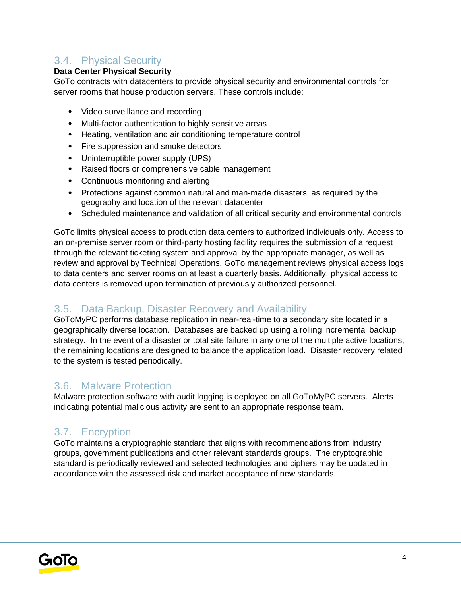#### 3.4. Physical Security

#### **Data Center Physical Security**

GoTo contracts with datacenters to provide physical security and environmental controls for server rooms that house production servers. These controls include:

- Video surveillance and recording
- Multi-factor authentication to highly sensitive areas
- Heating, ventilation and air conditioning temperature control
- Fire suppression and smoke detectors
- Uninterruptible power supply (UPS)
- Raised floors or comprehensive cable management
- Continuous monitoring and alerting
- Protections against common natural and man-made disasters, as required by the geography and location of the relevant datacenter
- Scheduled maintenance and validation of all critical security and environmental controls

GoTo limits physical access to production data centers to authorized individuals only. Access to an on-premise server room or third-party hosting facility requires the submission of a request through the relevant ticketing system and approval by the appropriate manager, as well as review and approval by Technical Operations. GoTo management reviews physical access logs to data centers and server rooms on at least a quarterly basis. Additionally, physical access to data centers is removed upon termination of previously authorized personnel.

#### 3.5. Data Backup, Disaster Recovery and Availability

GoToMyPC performs database replication in near-real-time to a secondary site located in a geographically diverse location. Databases are backed up using a rolling incremental backup strategy. In the event of a disaster or total site failure in any one of the multiple active locations, the remaining locations are designed to balance the application load. Disaster recovery related to the system is tested periodically.

#### 3.6. Malware Protection

Malware protection software with audit logging is deployed on all GoToMyPC servers. Alerts indicating potential malicious activity are sent to an appropriate response team.

#### 3.7. Encryption

GoTo maintains a cryptographic standard that aligns with recommendations from industry groups, government publications and other relevant standards groups. The cryptographic standard is periodically reviewed and selected technologies and ciphers may be updated in accordance with the assessed risk and market acceptance of new standards.

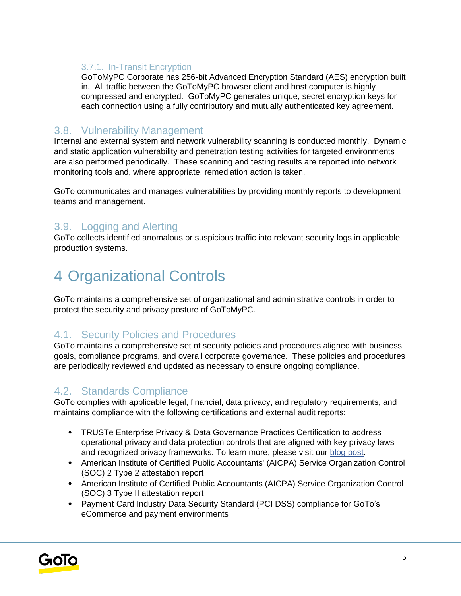#### 3.7.1. In-Transit Encryption

GoToMyPC Corporate has 256-bit Advanced Encryption Standard (AES) encryption built in. All traffic between the GoToMyPC browser client and host computer is highly compressed and encrypted. GoToMyPC generates unique, secret encryption keys for each connection using a fully contributory and mutually authenticated key agreement.

#### 3.8. Vulnerability Management

Internal and external system and network vulnerability scanning is conducted monthly. Dynamic and static application vulnerability and penetration testing activities for targeted environments are also performed periodically. These scanning and testing results are reported into network monitoring tools and, where appropriate, remediation action is taken.

GoTo communicates and manages vulnerabilities by providing monthly reports to development teams and management.

#### 3.9. Logging and Alerting

GoTo collects identified anomalous or suspicious traffic into relevant security logs in applicable production systems.

### 4 Organizational Controls

GoTo maintains a comprehensive set of organizational and administrative controls in order to protect the security and privacy posture of GoToMyPC.

#### 4.1. Security Policies and Procedures

GoTo maintains a comprehensive set of security policies and procedures aligned with business goals, compliance programs, and overall corporate governance. These policies and procedures are periodically reviewed and updated as necessary to ensure ongoing compliance.

#### 4.2. Standards Compliance

GoTo complies with applicable legal, financial, data privacy, and regulatory requirements, and maintains compliance with the following certifications and external audit reports:

- TRUSTe Enterprise Privacy & Data Governance Practices Certification to address operational privacy and data protection controls that are aligned with key privacy laws and recognized privacy frameworks. To learn more, please visit ou[r](https://blog.logmeininc.com/logmein-furthers-commitment-to-data-privacy-with-truste-enterprise-privacy-certification-seal/?lang=en) [blog post](https://www.goto.com/blog/logmein-furthers-commitment-to-data-privacy-with-truste-enterprise-privacy-certification-seal)[.](https://blog.logmeininc.com/logmein-furthers-commitment-to-data-privacy-with-truste-enterprise-privacy-certification-seal/?lang=en)
- American Institute of Certified Public Accountants' (AICPA) Service Organization Control (SOC) 2 Type 2 attestation report
- American Institute of Certified Public Accountants (AICPA) Service Organization Control (SOC) 3 Type II attestation report
- Payment Card Industry Data Security Standard (PCI DSS) compliance for GoTo's eCommerce and payment environments

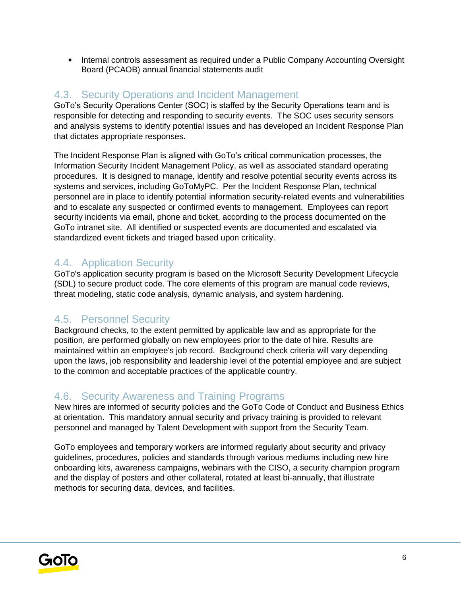• Internal controls assessment as required under a Public Company Accounting Oversight Board (PCAOB) annual financial statements audit

#### 4.3. Security Operations and Incident Management

GoTo's Security Operations Center (SOC) is staffed by the Security Operations team and is responsible for detecting and responding to security events. The SOC uses security sensors and analysis systems to identify potential issues and has developed an Incident Response Plan that dictates appropriate responses.

The Incident Response Plan is aligned with GoTo's critical communication processes, the Information Security Incident Management Policy, as well as associated standard operating procedures. It is designed to manage, identify and resolve potential security events across its systems and services, including GoToMyPC. Per the Incident Response Plan, technical personnel are in place to identify potential information security-related events and vulnerabilities and to escalate any suspected or confirmed events to management. Employees can report security incidents via email, phone and ticket, according to the process documented on the GoTo intranet site. All identified or suspected events are documented and escalated via standardized event tickets and triaged based upon criticality.

#### 4.4. Application Security

GoTo's application security program is based on the Microsoft Security Development Lifecycle (SDL) to secure product code. The core elements of this program are manual code reviews, threat modeling, static code analysis, dynamic analysis, and system hardening.

#### 4.5. Personnel Security

Background checks, to the extent permitted by applicable law and as appropriate for the position, are performed globally on new employees prior to the date of hire. Results are maintained within an employee's job record. Background check criteria will vary depending upon the laws, job responsibility and leadership level of the potential employee and are subject to the common and acceptable practices of the applicable country.

#### 4.6. Security Awareness and Training Programs

New hires are informed of security policies and the GoTo Code of Conduct and Business Ethics at orientation. This mandatory annual security and privacy training is provided to relevant personnel and managed by Talent Development with support from the Security Team.

GoTo employees and temporary workers are informed regularly about security and privacy guidelines, procedures, policies and standards through various mediums including new hire onboarding kits, awareness campaigns, webinars with the CISO, a security champion program and the display of posters and other collateral, rotated at least bi-annually, that illustrate methods for securing data, devices, and facilities.

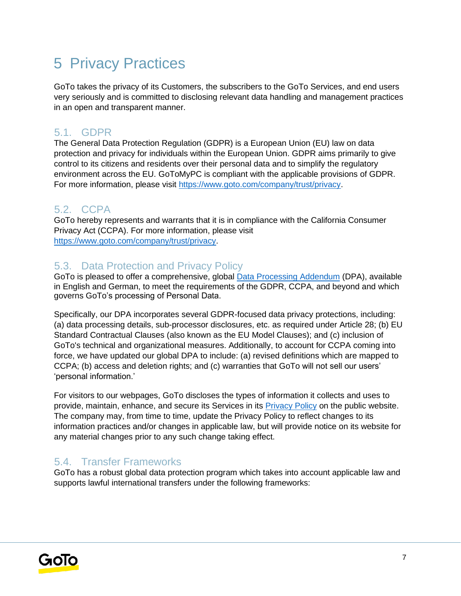## 5 Privacy Practices

GoTo takes the privacy of its Customers, the subscribers to the GoTo Services, and end users very seriously and is committed to disclosing relevant data handling and management practices in an open and transparent manner.

#### 5.1. GDPR

The General Data Protection Regulation (GDPR) is a European Union (EU) law on data protection and privacy for individuals within the European Union. GDPR aims primarily to give control to its citizens and residents over their personal data and to simplify the regulatory environment across the EU. GoToMyPC is compliant with the applicable provisions of GDPR. For more information, please visit [https://www.goto.com/company/trust/privacy.](https://www.goto.com/company/trust/privacy)

#### 5.2. CCPA

GoTo hereby represents and warrants that it is in compliance with the California Consumer Privacy Act (CCPA). For more information, please visit [https://www.goto.com/company/trust/privacy.](https://www.goto.com/company/trust/privacy)

#### 5.3. Data Protection and Privacy Policy

GoTo is pleased to offer a comprehensive, global [Data Processing Addendum](https://www.goto.com/company/legal) (DPA), available in [English](https://www.docusign.net/Member/PowerFormSigning.aspx?PowerFormId=87db4c61-3929-4ccb-ab58-b202e064c4a1) [a](https://www.docusign.net/Member/PowerFormSigning.aspx?PowerFormId=87db4c61-3929-4ccb-ab58-b202e064c4a1)nd [German,](https://www.docusign.net/Member/PowerFormSigning.aspx?PowerFormId=29541afa-3cf0-4d7c-90f8-e971a0866b8e&env=na1) to meet the requirements of the GDPR, CCPA, and beyond and which governs GoTo's processing of Personal Data.

Specifically, our DPA incorporates several GDPR-focused data privacy protections, including: (a) data processing details, sub-processor disclosures, etc. as required under Article 28; (b) EU Standard Contractual Clauses (also known as the EU Model Clauses); and (c) inclusion of GoTo's technical and organizational measures. Additionally, to account for CCPA coming into force, we have updated our global DPA to include: (a) revised definitions which are mapped to CCPA; (b) access and deletion rights; and (c) warranties that GoTo will not sell our users' 'personal information.'

For visitors to our webpages, GoTo discloses the types of information it collects and uses to provide, maintain, enhance, and secure its Services in its **Privacy Policy** on the public website. The company may, from time to time, update the Privacy Policy to reflect changes to its information practices and/or changes in applicable law, but will provide notice on its website for any material changes prior to any such change taking effect.

#### 5.4. Transfer Frameworks

GoTo has a robust global data protection program which takes into account applicable law and supports lawful international transfers under the following frameworks:

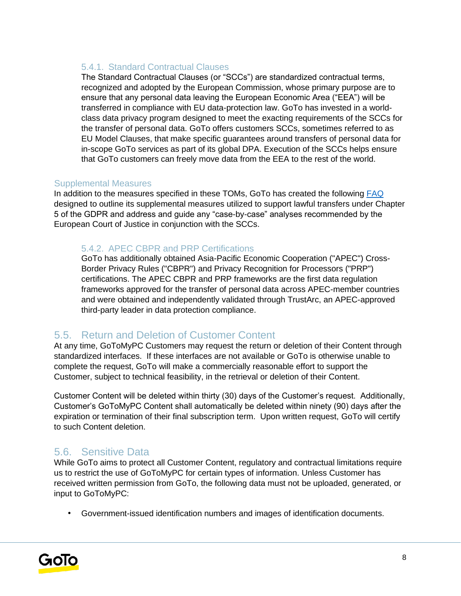#### 5.4.1. Standard Contractual Clauses

The Standard Contractual Clauses (or "SCCs") are standardized contractual terms, recognized and adopted by the European Commission, whose primary purpose are to ensure that any personal data leaving the European Economic Area ("EEA") will be transferred in compliance with EU data-protection law. GoTo has invested in a worldclass data privacy program designed to meet the exacting requirements of the SCCs for the transfer of personal data. GoTo offers customers SCCs, sometimes referred to as EU Model Clauses, that make specific guarantees around transfers of personal data for in-scope GoTo services as part of its global DPA. Execution of the SCCs helps ensure that GoTo customers can freely move data from the EEA to the rest of the world.

#### Supplemental Measures

In addition to the measures specified in these TOMs, GoTo has created the following [FAQ](https://logmeincdn.azureedge.net/legal/international-data-transfers-faq.pdf) designed to outline its supplemental measures utilized to support lawful transfers under Chapter 5 of the GDPR and address and guide any "case-by-case" analyses recommended by the European Court of Justice in conjunction with the SCCs.

#### 5.4.2. APEC CBPR and PRP Certifications

GoTo has additionally obtained Asia-Pacific Economic Cooperation ("APEC") Cross-Border Privacy Rules ("CBPR") and Privacy Recognition for Processors ("PRP") certifications. The APEC CBPR and PRP frameworks are the first data regulation frameworks approved for the transfer of personal data across APEC-member countries and were obtained and independently validated through TrustArc, an APEC-approved third-party leader in data protection compliance.

#### 5.5. Return and Deletion of Customer Content

At any time, GoToMyPC Customers may request the return or deletion of their Content through standardized interfaces. If these interfaces are not available or GoTo is otherwise unable to complete the request, GoTo will make a commercially reasonable effort to support the Customer, subject to technical feasibility, in the retrieval or deletion of their Content.

Customer Content will be deleted within thirty (30) days of the Customer's request. Additionally, Customer's GoToMyPC Content shall automatically be deleted within ninety (90) days after the expiration or termination of their final subscription term. Upon written request, GoTo will certify to such Content deletion.

#### 5.6. Sensitive Data

While GoTo aims to protect all Customer Content, regulatory and contractual limitations require us to restrict the use of GoToMyPC for certain types of information. Unless Customer has received written permission from GoTo, the following data must not be uploaded, generated, or input to GoToMyPC:

• Government-issued identification numbers and images of identification documents.